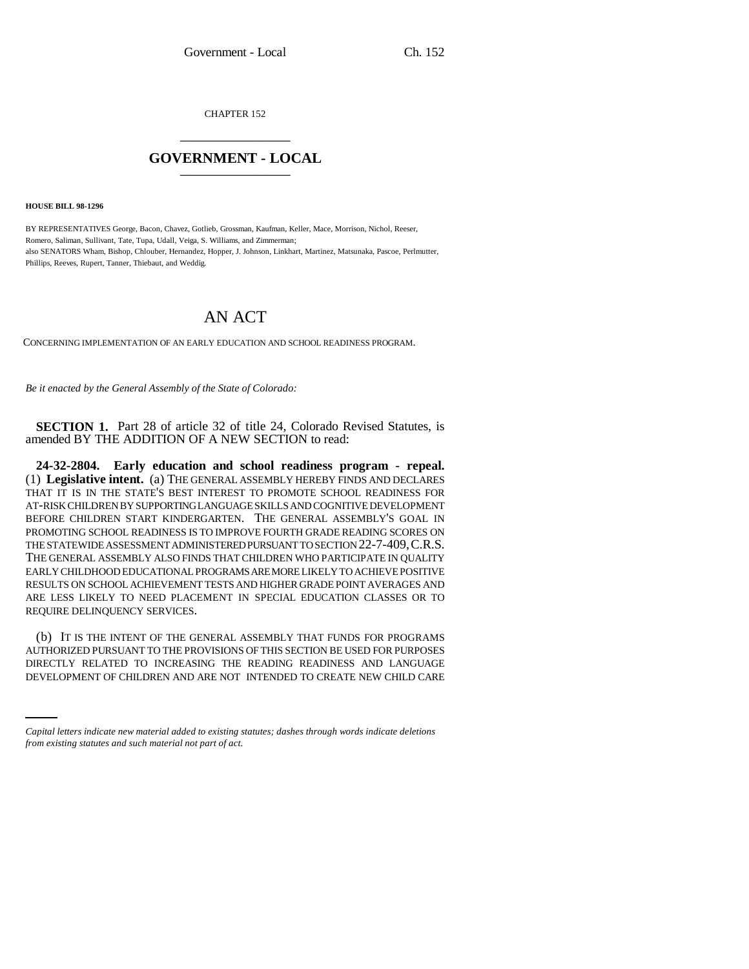CHAPTER 152 \_\_\_\_\_\_\_\_\_\_\_\_\_\_\_

## **GOVERNMENT - LOCAL** \_\_\_\_\_\_\_\_\_\_\_\_\_\_\_

**HOUSE BILL 98-1296**

BY REPRESENTATIVES George, Bacon, Chavez, Gotlieb, Grossman, Kaufman, Keller, Mace, Morrison, Nichol, Reeser, Romero, Saliman, Sullivant, Tate, Tupa, Udall, Veiga, S. Williams, and Zimmerman; also SENATORS Wham, Bishop, Chlouber, Hernandez, Hopper, J. Johnson, Linkhart, Martinez, Matsunaka, Pascoe, Perlmutter, Phillips, Reeves, Rupert, Tanner, Thiebaut, and Weddig.

## AN ACT

CONCERNING IMPLEMENTATION OF AN EARLY EDUCATION AND SCHOOL READINESS PROGRAM.

*Be it enacted by the General Assembly of the State of Colorado:*

**SECTION 1.** Part 28 of article 32 of title 24, Colorado Revised Statutes, is amended BY THE ADDITION OF A NEW SECTION to read:

**24-32-2804. Early education and school readiness program - repeal.** (1) **Legislative intent.** (a) THE GENERAL ASSEMBLY HEREBY FINDS AND DECLARES THAT IT IS IN THE STATE'S BEST INTEREST TO PROMOTE SCHOOL READINESS FOR AT-RISK CHILDREN BY SUPPORTING LANGUAGE SKILLS AND COGNITIVE DEVELOPMENT BEFORE CHILDREN START KINDERGARTEN. THE GENERAL ASSEMBLY'S GOAL IN PROMOTING SCHOOL READINESS IS TO IMPROVE FOURTH GRADE READING SCORES ON THE STATEWIDE ASSESSMENT ADMINISTERED PURSUANT TO SECTION 22-7-409,C.R.S. THE GENERAL ASSEMBLY ALSO FINDS THAT CHILDREN WHO PARTICIPATE IN QUALITY EARLY CHILDHOOD EDUCATIONAL PROGRAMS ARE MORE LIKELY TO ACHIEVE POSITIVE RESULTS ON SCHOOL ACHIEVEMENT TESTS AND HIGHER GRADE POINT AVERAGES AND ARE LESS LIKELY TO NEED PLACEMENT IN SPECIAL EDUCATION CLASSES OR TO REQUIRE DELINQUENCY SERVICES.

AUTHORIZED PURSUANT TO THE PROVISIONS OF THIS SECTION BE USED FOR PURPOSES (b) IT IS THE INTENT OF THE GENERAL ASSEMBLY THAT FUNDS FOR PROGRAMS DIRECTLY RELATED TO INCREASING THE READING READINESS AND LANGUAGE DEVELOPMENT OF CHILDREN AND ARE NOT INTENDED TO CREATE NEW CHILD CARE

*Capital letters indicate new material added to existing statutes; dashes through words indicate deletions from existing statutes and such material not part of act.*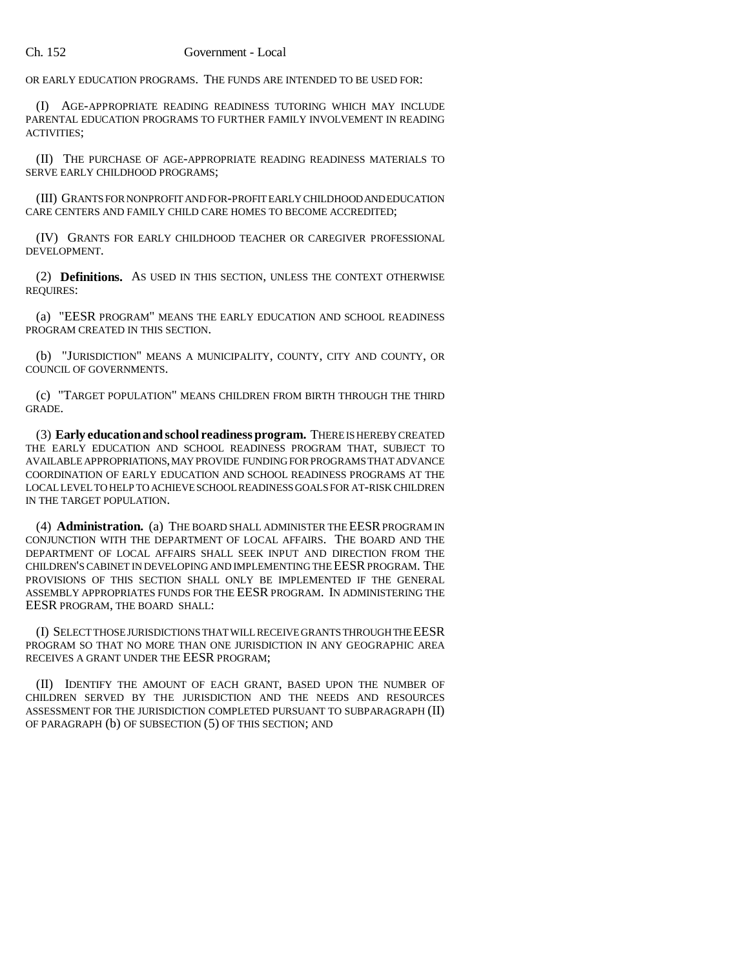OR EARLY EDUCATION PROGRAMS. THE FUNDS ARE INTENDED TO BE USED FOR:

(I) AGE-APPROPRIATE READING READINESS TUTORING WHICH MAY INCLUDE PARENTAL EDUCATION PROGRAMS TO FURTHER FAMILY INVOLVEMENT IN READING ACTIVITIES;

(II) THE PURCHASE OF AGE-APPROPRIATE READING READINESS MATERIALS TO SERVE EARLY CHILDHOOD PROGRAMS;

(III) GRANTS FOR NONPROFIT AND FOR-PROFIT EARLY CHILDHOOD AND EDUCATION CARE CENTERS AND FAMILY CHILD CARE HOMES TO BECOME ACCREDITED;

(IV) GRANTS FOR EARLY CHILDHOOD TEACHER OR CAREGIVER PROFESSIONAL DEVELOPMENT.

(2) **Definitions.** AS USED IN THIS SECTION, UNLESS THE CONTEXT OTHERWISE REQUIRES:

(a) "EESR PROGRAM" MEANS THE EARLY EDUCATION AND SCHOOL READINESS PROGRAM CREATED IN THIS SECTION.

(b) "JURISDICTION" MEANS A MUNICIPALITY, COUNTY, CITY AND COUNTY, OR COUNCIL OF GOVERNMENTS.

(c) "TARGET POPULATION" MEANS CHILDREN FROM BIRTH THROUGH THE THIRD GRADE.

(3) **Early education and school readiness program.** THERE IS HEREBY CREATED THE EARLY EDUCATION AND SCHOOL READINESS PROGRAM THAT, SUBJECT TO AVAILABLE APPROPRIATIONS, MAY PROVIDE FUNDING FOR PROGRAMS THAT ADVANCE COORDINATION OF EARLY EDUCATION AND SCHOOL READINESS PROGRAMS AT THE LOCAL LEVEL TO HELP TO ACHIEVE SCHOOL READINESS GOALS FOR AT-RISK CHILDREN IN THE TARGET POPULATION.

(4) **Administration.** (a) THE BOARD SHALL ADMINISTER THE EESR PROGRAM IN CONJUNCTION WITH THE DEPARTMENT OF LOCAL AFFAIRS. THE BOARD AND THE DEPARTMENT OF LOCAL AFFAIRS SHALL SEEK INPUT AND DIRECTION FROM THE CHILDREN'S CABINET IN DEVELOPING AND IMPLEMENTING THE EESR PROGRAM. THE PROVISIONS OF THIS SECTION SHALL ONLY BE IMPLEMENTED IF THE GENERAL ASSEMBLY APPROPRIATES FUNDS FOR THE EESR PROGRAM. IN ADMINISTERING THE EESR PROGRAM, THE BOARD SHALL:

(I) SELECT THOSE JURISDICTIONS THAT WILL RECEIVE GRANTS THROUGH THE EESR PROGRAM SO THAT NO MORE THAN ONE JURISDICTION IN ANY GEOGRAPHIC AREA RECEIVES A GRANT UNDER THE EESR PROGRAM;

(II) IDENTIFY THE AMOUNT OF EACH GRANT, BASED UPON THE NUMBER OF CHILDREN SERVED BY THE JURISDICTION AND THE NEEDS AND RESOURCES ASSESSMENT FOR THE JURISDICTION COMPLETED PURSUANT TO SUBPARAGRAPH (II) OF PARAGRAPH (b) OF SUBSECTION (5) OF THIS SECTION; AND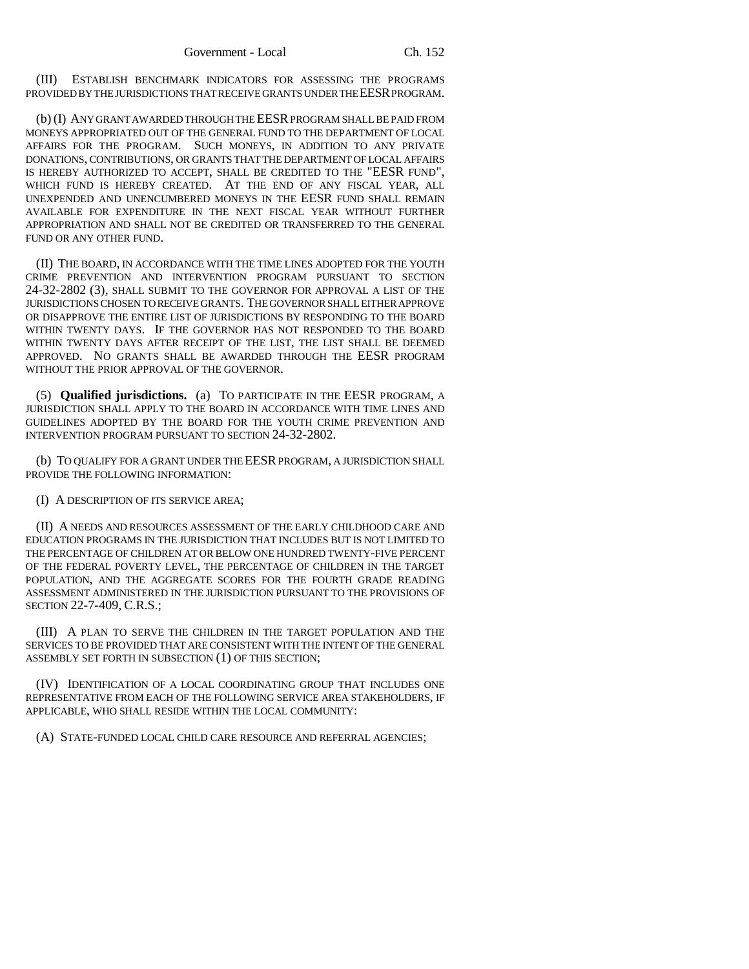(III) ESTABLISH BENCHMARK INDICATORS FOR ASSESSING THE PROGRAMS PROVIDED BY THE JURISDICTIONS THAT RECEIVE GRANTS UNDER THE EESR PROGRAM.

(b) (I) ANY GRANT AWARDED THROUGH THE EESR PROGRAM SHALL BE PAID FROM MONEYS APPROPRIATED OUT OF THE GENERAL FUND TO THE DEPARTMENT OF LOCAL AFFAIRS FOR THE PROGRAM. SUCH MONEYS, IN ADDITION TO ANY PRIVATE DONATIONS, CONTRIBUTIONS, OR GRANTS THAT THE DEPARTMENT OF LOCAL AFFAIRS IS HEREBY AUTHORIZED TO ACCEPT, SHALL BE CREDITED TO THE "EESR FUND", WHICH FUND IS HEREBY CREATED. AT THE END OF ANY FISCAL YEAR, ALL UNEXPENDED AND UNENCUMBERED MONEYS IN THE EESR FUND SHALL REMAIN AVAILABLE FOR EXPENDITURE IN THE NEXT FISCAL YEAR WITHOUT FURTHER APPROPRIATION AND SHALL NOT BE CREDITED OR TRANSFERRED TO THE GENERAL FUND OR ANY OTHER FUND.

(II) THE BOARD, IN ACCORDANCE WITH THE TIME LINES ADOPTED FOR THE YOUTH CRIME PREVENTION AND INTERVENTION PROGRAM PURSUANT TO SECTION 24-32-2802 (3), SHALL SUBMIT TO THE GOVERNOR FOR APPROVAL A LIST OF THE JURISDICTIONS CHOSEN TO RECEIVE GRANTS. THE GOVERNOR SHALL EITHER APPROVE OR DISAPPROVE THE ENTIRE LIST OF JURISDICTIONS BY RESPONDING TO THE BOARD WITHIN TWENTY DAYS. IF THE GOVERNOR HAS NOT RESPONDED TO THE BOARD WITHIN TWENTY DAYS AFTER RECEIPT OF THE LIST, THE LIST SHALL BE DEEMED APPROVED. NO GRANTS SHALL BE AWARDED THROUGH THE EESR PROGRAM WITHOUT THE PRIOR APPROVAL OF THE GOVERNOR.

(5) **Qualified jurisdictions.** (a) TO PARTICIPATE IN THE EESR PROGRAM, A JURISDICTION SHALL APPLY TO THE BOARD IN ACCORDANCE WITH TIME LINES AND GUIDELINES ADOPTED BY THE BOARD FOR THE YOUTH CRIME PREVENTION AND INTERVENTION PROGRAM PURSUANT TO SECTION 24-32-2802.

(b) TO QUALIFY FOR A GRANT UNDER THE EESR PROGRAM, A JURISDICTION SHALL PROVIDE THE FOLLOWING INFORMATION:

(I) A DESCRIPTION OF ITS SERVICE AREA;

(II) A NEEDS AND RESOURCES ASSESSMENT OF THE EARLY CHILDHOOD CARE AND EDUCATION PROGRAMS IN THE JURISDICTION THAT INCLUDES BUT IS NOT LIMITED TO THE PERCENTAGE OF CHILDREN AT OR BELOW ONE HUNDRED TWENTY-FIVE PERCENT OF THE FEDERAL POVERTY LEVEL, THE PERCENTAGE OF CHILDREN IN THE TARGET POPULATION, AND THE AGGREGATE SCORES FOR THE FOURTH GRADE READING ASSESSMENT ADMINISTERED IN THE JURISDICTION PURSUANT TO THE PROVISIONS OF SECTION 22-7-409, C.R.S.;

(III) A PLAN TO SERVE THE CHILDREN IN THE TARGET POPULATION AND THE SERVICES TO BE PROVIDED THAT ARE CONSISTENT WITH THE INTENT OF THE GENERAL ASSEMBLY SET FORTH IN SUBSECTION (1) OF THIS SECTION;

(IV) IDENTIFICATION OF A LOCAL COORDINATING GROUP THAT INCLUDES ONE REPRESENTATIVE FROM EACH OF THE FOLLOWING SERVICE AREA STAKEHOLDERS, IF APPLICABLE, WHO SHALL RESIDE WITHIN THE LOCAL COMMUNITY:

(A) STATE-FUNDED LOCAL CHILD CARE RESOURCE AND REFERRAL AGENCIES;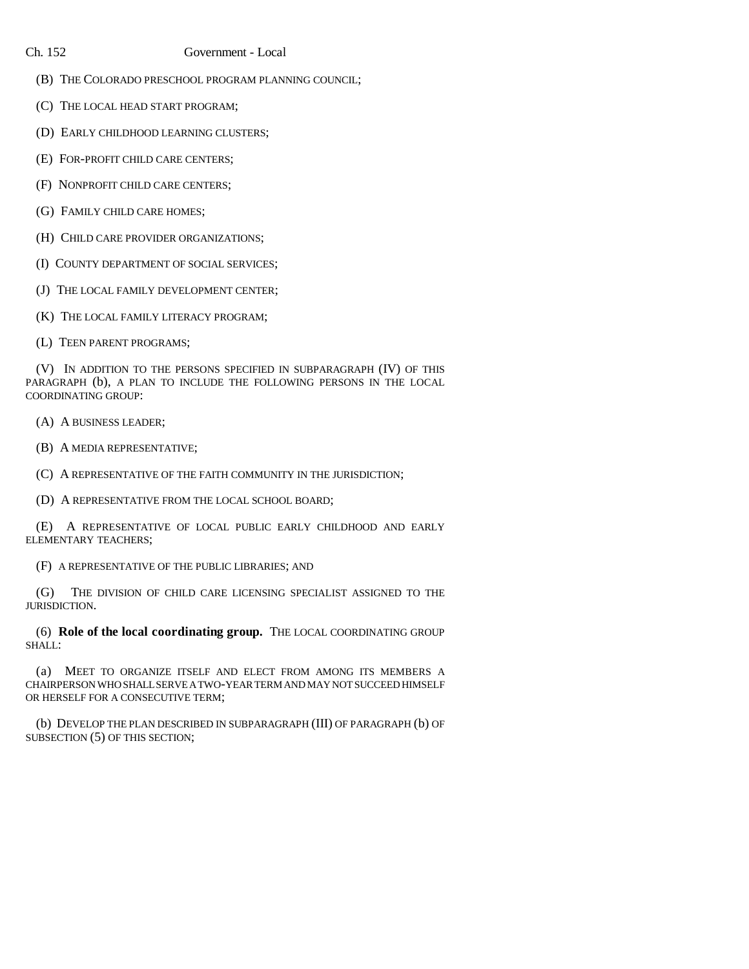## Ch. 152 Government - Local

- (B) THE COLORADO PRESCHOOL PROGRAM PLANNING COUNCIL;
- (C) THE LOCAL HEAD START PROGRAM;
- (D) EARLY CHILDHOOD LEARNING CLUSTERS;
- (E) FOR-PROFIT CHILD CARE CENTERS;
- (F) NONPROFIT CHILD CARE CENTERS;
- (G) FAMILY CHILD CARE HOMES;
- (H) CHILD CARE PROVIDER ORGANIZATIONS;
- (I) COUNTY DEPARTMENT OF SOCIAL SERVICES;
- (J) THE LOCAL FAMILY DEVELOPMENT CENTER;
- (K) THE LOCAL FAMILY LITERACY PROGRAM;
- (L) TEEN PARENT PROGRAMS;

(V) IN ADDITION TO THE PERSONS SPECIFIED IN SUBPARAGRAPH (IV) OF THIS PARAGRAPH (b), A PLAN TO INCLUDE THE FOLLOWING PERSONS IN THE LOCAL COORDINATING GROUP:

- (A) A BUSINESS LEADER;
- (B) A MEDIA REPRESENTATIVE;
- (C) A REPRESENTATIVE OF THE FAITH COMMUNITY IN THE JURISDICTION;
- (D) A REPRESENTATIVE FROM THE LOCAL SCHOOL BOARD;

(E) A REPRESENTATIVE OF LOCAL PUBLIC EARLY CHILDHOOD AND EARLY ELEMENTARY TEACHERS;

(F) A REPRESENTATIVE OF THE PUBLIC LIBRARIES; AND

(G) THE DIVISION OF CHILD CARE LICENSING SPECIALIST ASSIGNED TO THE JURISDICTION.

(6) **Role of the local coordinating group.** THE LOCAL COORDINATING GROUP SHALL:

(a) MEET TO ORGANIZE ITSELF AND ELECT FROM AMONG ITS MEMBERS A CHAIRPERSON WHO SHALL SERVE A TWO-YEAR TERM AND MAY NOT SUCCEED HIMSELF OR HERSELF FOR A CONSECUTIVE TERM;

(b) DEVELOP THE PLAN DESCRIBED IN SUBPARAGRAPH (III) OF PARAGRAPH (b) OF SUBSECTION (5) OF THIS SECTION;